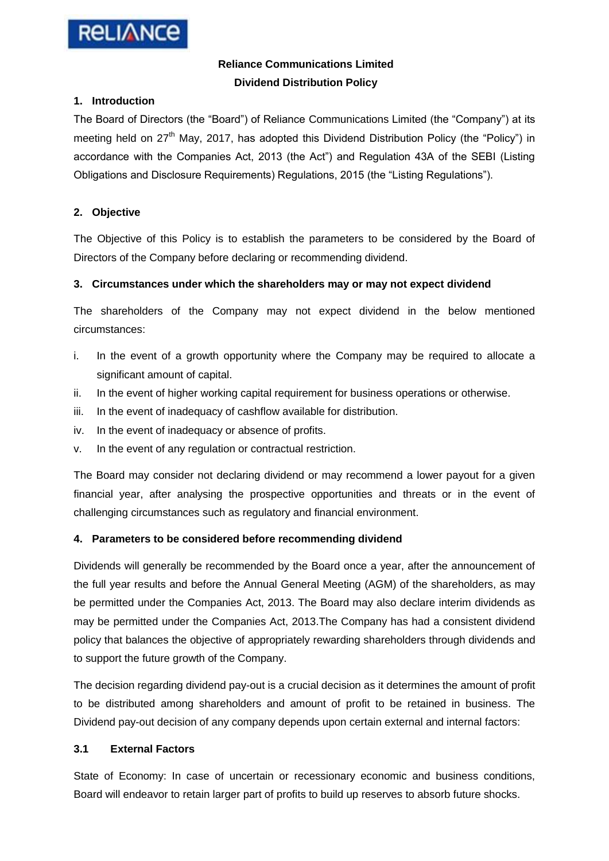

# **Reliance Communications Limited Dividend Distribution Policy**

## **1. Introduction**

The Board of Directors (the "Board") of Reliance Communications Limited (the "Company") at its meeting held on  $27<sup>th</sup>$  May, 2017, has adopted this Dividend Distribution Policy (the "Policy") in accordance with the Companies Act, 2013 (the Act") and Regulation 43A of the SEBI (Listing Obligations and Disclosure Requirements) Regulations, 2015 (the "Listing Regulations").

## **2. Objective**

The Objective of this Policy is to establish the parameters to be considered by the Board of Directors of the Company before declaring or recommending dividend.

## **3. Circumstances under which the shareholders may or may not expect dividend**

The shareholders of the Company may not expect dividend in the below mentioned circumstances:

- i. In the event of a growth opportunity where the Company may be required to allocate a significant amount of capital.
- ii. In the event of higher working capital requirement for business operations or otherwise.
- iii. In the event of inadequacy of cashflow available for distribution.
- iv. In the event of inadequacy or absence of profits.
- v. In the event of any regulation or contractual restriction.

The Board may consider not declaring dividend or may recommend a lower payout for a given financial year, after analysing the prospective opportunities and threats or in the event of challenging circumstances such as regulatory and financial environment.

### **4. Parameters to be considered before recommending dividend**

Dividends will generally be recommended by the Board once a year, after the announcement of the full year results and before the Annual General Meeting (AGM) of the shareholders, as may be permitted under the Companies Act, 2013. The Board may also declare interim dividends as may be permitted under the Companies Act, 2013.The Company has had a consistent dividend policy that balances the objective of appropriately rewarding shareholders through dividends and to support the future growth of the Company.

The decision regarding dividend pay-out is a crucial decision as it determines the amount of profit to be distributed among shareholders and amount of profit to be retained in business. The Dividend pay-out decision of any company depends upon certain external and internal factors:

### **3.1 External Factors**

State of Economy: In case of uncertain or recessionary economic and business conditions, Board will endeavor to retain larger part of profits to build up reserves to absorb future shocks.